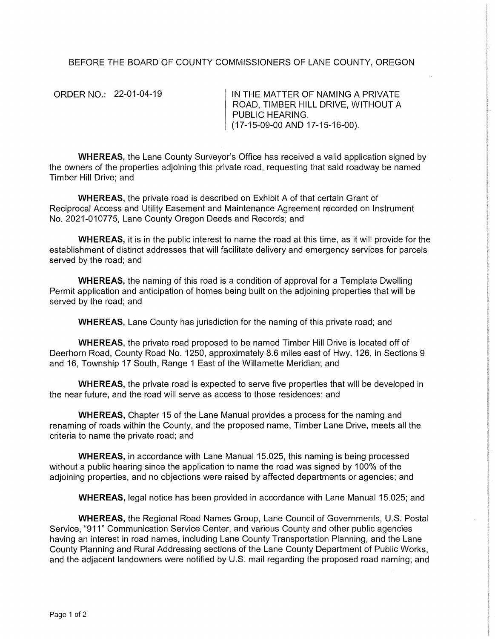## BEFORE THE BOARD OF COUNTY COMMISSIONERS OF LANE COUNTY, OREGON

ORDER NO.: 22-01-04-19

IN THE MATTER OF NAMING A PRIVATE ROAD, TIMBER HILL DRIVE, WITHOUT A PUBLIC HEARING. (17-15-09-00 AND 17-15-16-00).

WHEREAS, the Lane County Surveyor's Office has received a valid application signed by the owners of the properties adjoining this private road, requesting that said roadway be named Timber Hill Drive; and

WHEREAS, the private road is described on Exhibit A of that certain Grant of Reciprocal Access and Utility Easement and Maintenance Agreement recorded on Instrument No. 2021-010775, Lane County Oregon Deeds and Records; and

WHEREAS, it is in the public interest to name the road at this time, as it will provide for the establishment of distinct addresses that will facilitate delivery and emergency services for parcels served by the road; and

**WHEREAS,** the naming of this road is a condition of approval for a Template Dwelling Permit application and anticipation of homes being built on the adjoining properties that will be served by the road; and

**WHEREAS,** Lane County has jurisdiction for the naming of this private road; and

**WHEREAS,** the private road proposed to be named Timber Hill Drive is located off of Deerhorn Road, County Road No. 1250, approximately 8.6 miles east of Hwy. 126, in Sections 9 and 16, Township 17 South, Range 1 East of the Willamette Meridian; and

**WHEREAS,** the private road is expected to serve five properties that will be developed in the near future, and the road will serve as access to those residences; and

**WHEREAS,** Chapter 15 of the Lane Manual provides a process for the naming and renaming of roads within the County, and the proposed name, Timber Lane Drive, meets all the criteria to name the private road; and

**WHEREAS,** in accordance with Lane Manual 15.025, this naming is being processed without a public hearing since the application to name the road was signed by 100% of the adjoining properties, and no objections were raised by affected departments or agencies; and

**WHEREAS,** legal notice has been provided in accordance with Lane Manual 15.025; and

**WHEREAS,** the Regional Road Names Group, Lane Council of Governments, U.S. Postal Service, "911" Communication Service Center, and various County and other public agencies having an interest in road names, including Lane County Transportation Planning, and the Lane County Planning and Rural Addressing sections of the Lane County Department of Public Works, and the adjacent landowners were notified by U.S. mail regarding the proposed road naming; and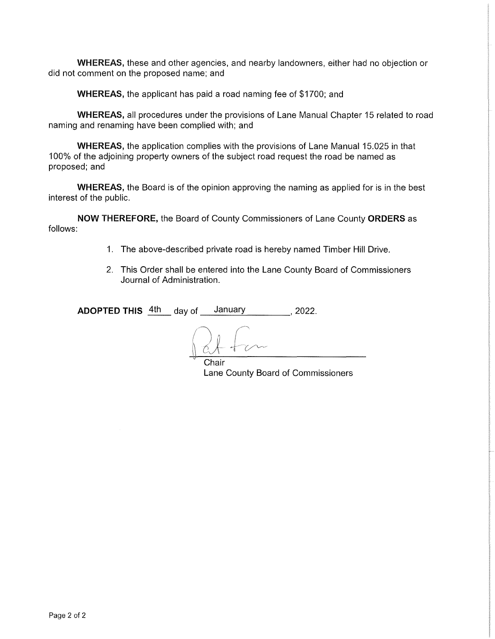WHEREAS, these and other agencies, and nearby landowners, either had no objection or did not comment on the proposed name; and

WHEREAS, the applicant has paid a road naming fee of \$1700; and

WHEREAS, all procedures under the provisions of Lane Manual Chapter 15 related to road naming and renaming have been complied with; and

WHEREAS, the application complies with the provisions of Lane Manual 15.025 in that 100% of the adjoining property owners of the subject road request the road be named as proposed; and

WHEREAS, the Board is of the opinion approving the naming as applied for is in the best interest of the public.

NOW THEREFORE, the Board of County Commissioners of Lane County ORDERS as follows:

- 1. The above-described private road is hereby named Timber Hill Drive.
- 2. This Order shall be entered into the Lane County Board of Commissioners Journal of Administration.

**ADOPTED THIS** 4th day of January 10, 2022.

**Chair** Lane County Board of Commissioners